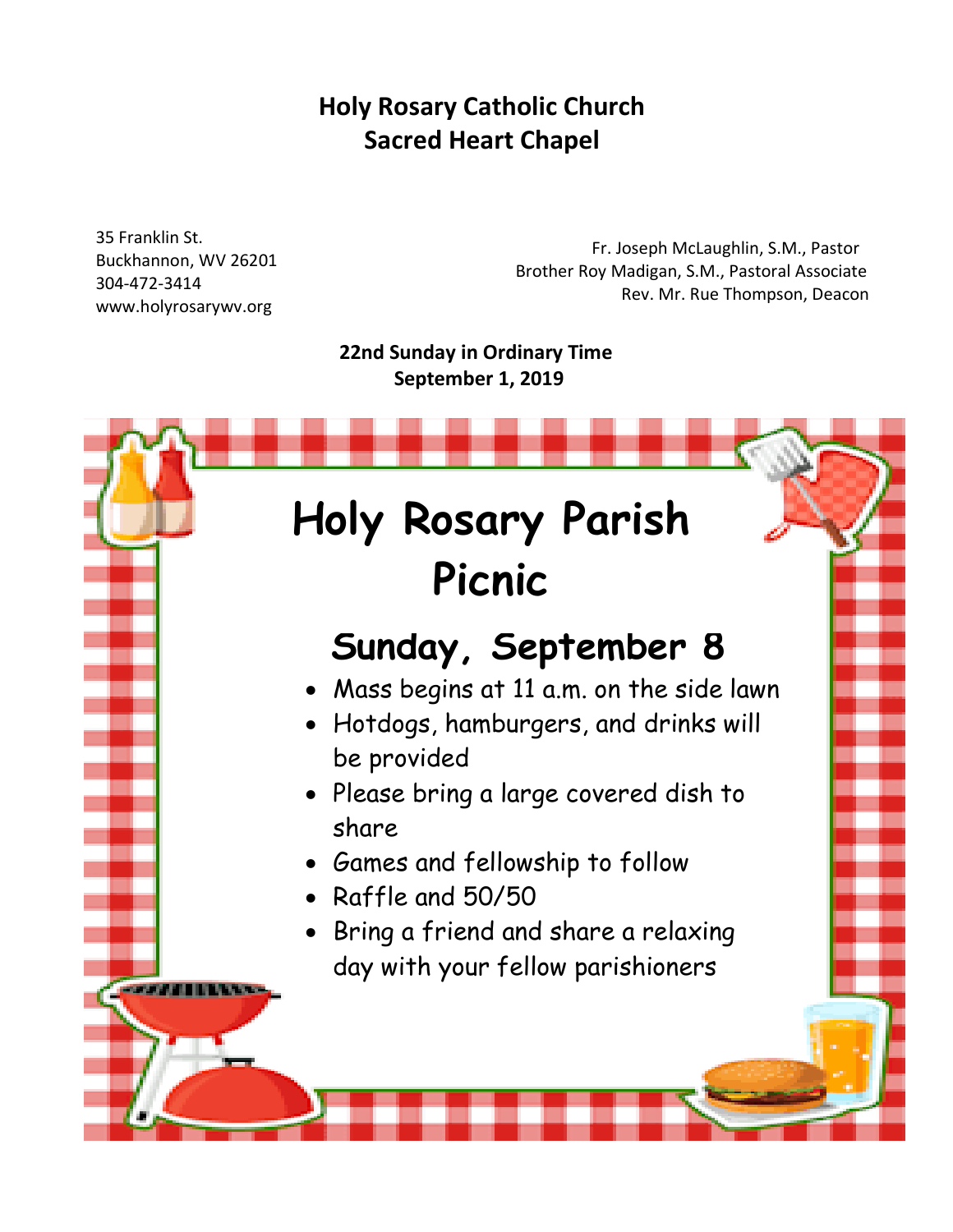## **Holy Rosary Catholic Church Sacred Heart Chapel**

35 Franklin St. Buckhannon, WV 26201 304-472-3414 www.holyrosarywv.org

*STARTING* 

 Fr. Joseph McLaughlin, S.M., Pastor Brother Roy Madigan, S.M., Pastoral Associate Rev. Mr. Rue Thompson, Deacon

 **22nd Sunday in Ordinary Time September 1, 2019**

# **Holy Rosary Parish Picnic**

# **Sunday, September 8**

- Mass begins at 11 a.m. on the side lawn
- Hotdogs, hamburgers, and drinks will be provided
- Please bring a large covered dish to share
- Games and fellowship to follow
- Raffle and 50/50
- Bring a friend and share a relaxing day with your fellow parishioners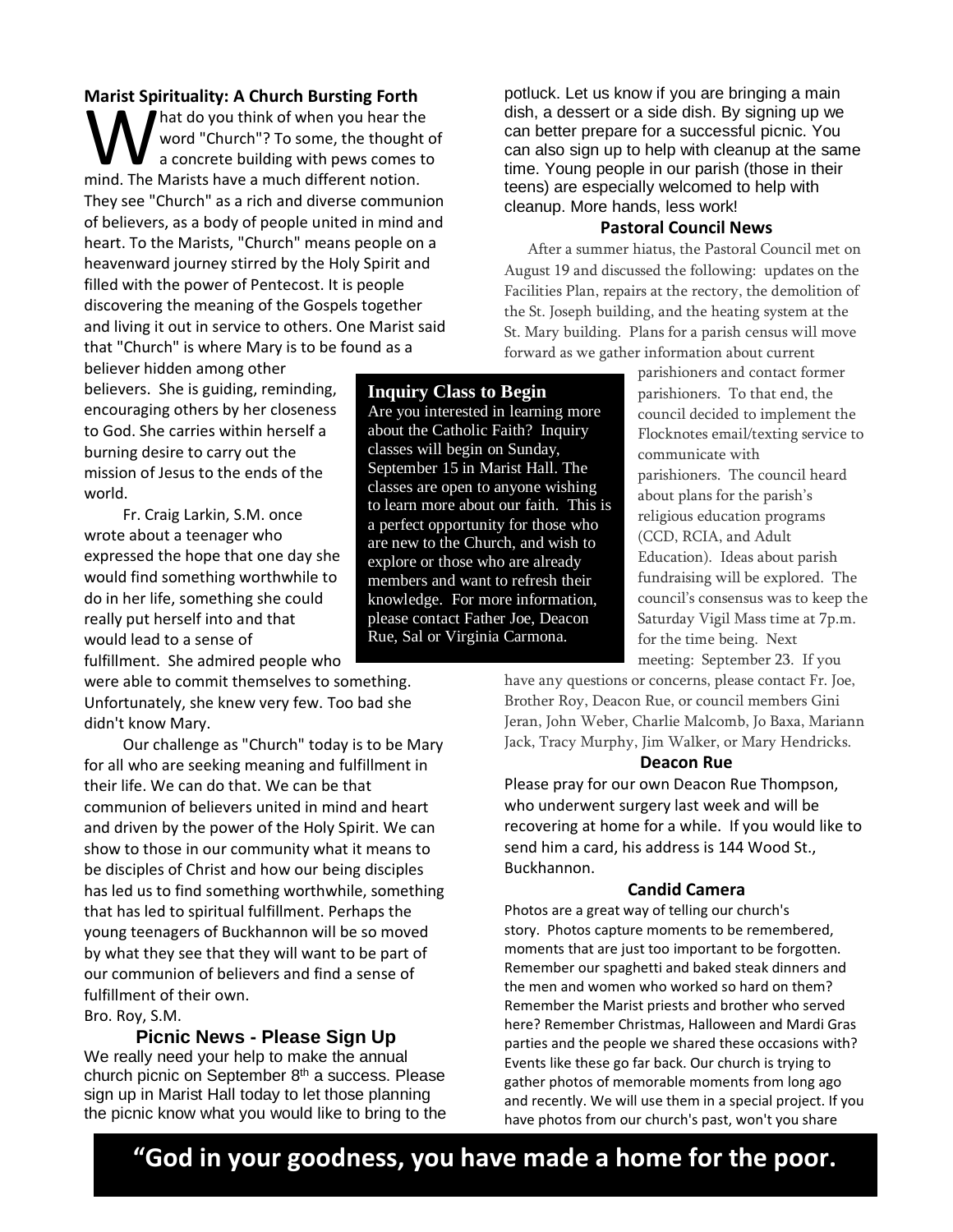#### **Marist Spirituality: A Church Bursting Forth**

hat do you think of when you hear the word "Church"? To some, the thought of a concrete building with pews comes to Marist Spirituality. A Critical Bursting Forth<br>
word "Church"? To some, the thought<br>
a concrete building with pews comes t<br>
mind. The Marists have a much different notion. They see "Church" as a rich and diverse communion of believers, as a body of people united in mind and heart. To the Marists, "Church" means people on a heavenward journey stirred by the Holy Spirit and filled with the power of Pentecost. It is people discovering the meaning of the Gospels together and living it out in service to others. One Marist said that "Church" is where Mary is to be found as a

believer hidden among other believers. She is guiding, reminding, encouraging others by her closeness to God. She carries within herself a burning desire to carry out the mission of Jesus to the ends of the world.

Fr. Craig Larkin, S.M. once wrote about a teenager who expressed the hope that one day she would find something worthwhile to do in her life, something she could really put herself into and that would lead to a sense of fulfillment. She admired people who

were able to commit themselves to something. Unfortunately, she knew very few. Too bad she didn't know Mary.

Our challenge as "Church" today is to be Mary for all who are seeking meaning and fulfillment in their life. We can do that. We can be that communion of believers united in mind and heart and driven by the power of the Holy Spirit. We can show to those in our community what it means to be disciples of Christ and how our being disciples has led us to find something worthwhile, something that has led to spiritual fulfillment. Perhaps the young teenagers of Buckhannon will be so moved by what they see that they will want to be part of our communion of believers and find a sense of fulfillment of their own.

Bro. Roy, S.M.

**Picnic News - Please Sign Up**

We really need your help to make the annual church picnic on September 8<sup>th</sup> a success. Please sign up in Marist Hall today to let those planning the picnic know what you would like to bring to the potluck. Let us know if you are bringing a main dish, a dessert or a side dish. By signing up we can better prepare for a successful picnic. You can also sign up to help with cleanup at the same time. Young people in our parish (those in their teens) are especially welcomed to help with cleanup. More hands, less work!

#### **Pastoral Council News**

After a summer hiatus, the Pastoral Council met on August 19 and discussed the following: updates on the Facilities Plan, repairs at the rectory, the demolition of the St. Joseph building, and the heating system at the St. Mary building. Plans for a parish census will move forward as we gather information about current

> parishioners and contact former parishioners. To that end, the council decided to implement the Flocknotes email/texting service to communicate with parishioners. The council heard about plans for the parish's religious education programs (CCD, RCIA, and Adult Education). Ideas about parish fundraising will be explored. The council's consensus was to keep the Saturday Vigil Mass time at 7p.m. for the time being. Next meeting: September 23. If you

have any questions or concerns, please contact Fr. Joe, Brother Roy, Deacon Rue, or council members Gini Jeran, John Weber, Charlie Malcomb, Jo Baxa, Mariann Jack, Tracy Murphy, Jim Walker, or Mary Hendricks.

#### **Deacon Rue**

Please pray for our own Deacon Rue Thompson, who underwent surgery last week and will be recovering at home for a while. If you would like to send him a card, his address is 144 Wood St., Buckhannon.

#### **Candid Camera**

Photos are a great way of telling our church's story. Photos capture moments to be remembered, moments that are just too important to be forgotten. Remember our spaghetti and baked steak dinners and the men and women who worked so hard on them? Remember the Marist priests and brother who served here? Remember Christmas, Halloween and Mardi Gras parties and the people we shared these occasions with? Events like these go far back. Our church is trying to gather photos of memorable moments from long ago and recently. We will use them in a special project. If you have photos from our church's past, won't you share

### **"God in your goodness, you have made a home for the poor.**

**Inquiry Class to Begin**

Are you interested in learning more about the Catholic Faith? Inquiry classes will begin on Sunday, September 15 in Marist Hall. The classes are open to anyone wishing to learn more about our faith. This is a perfect opportunity for those who are new to the Church, and wish to explore or those who are already members and want to refresh their knowledge. For more information, please contact Father Joe, Deacon Rue, Sal or Virginia Carmona.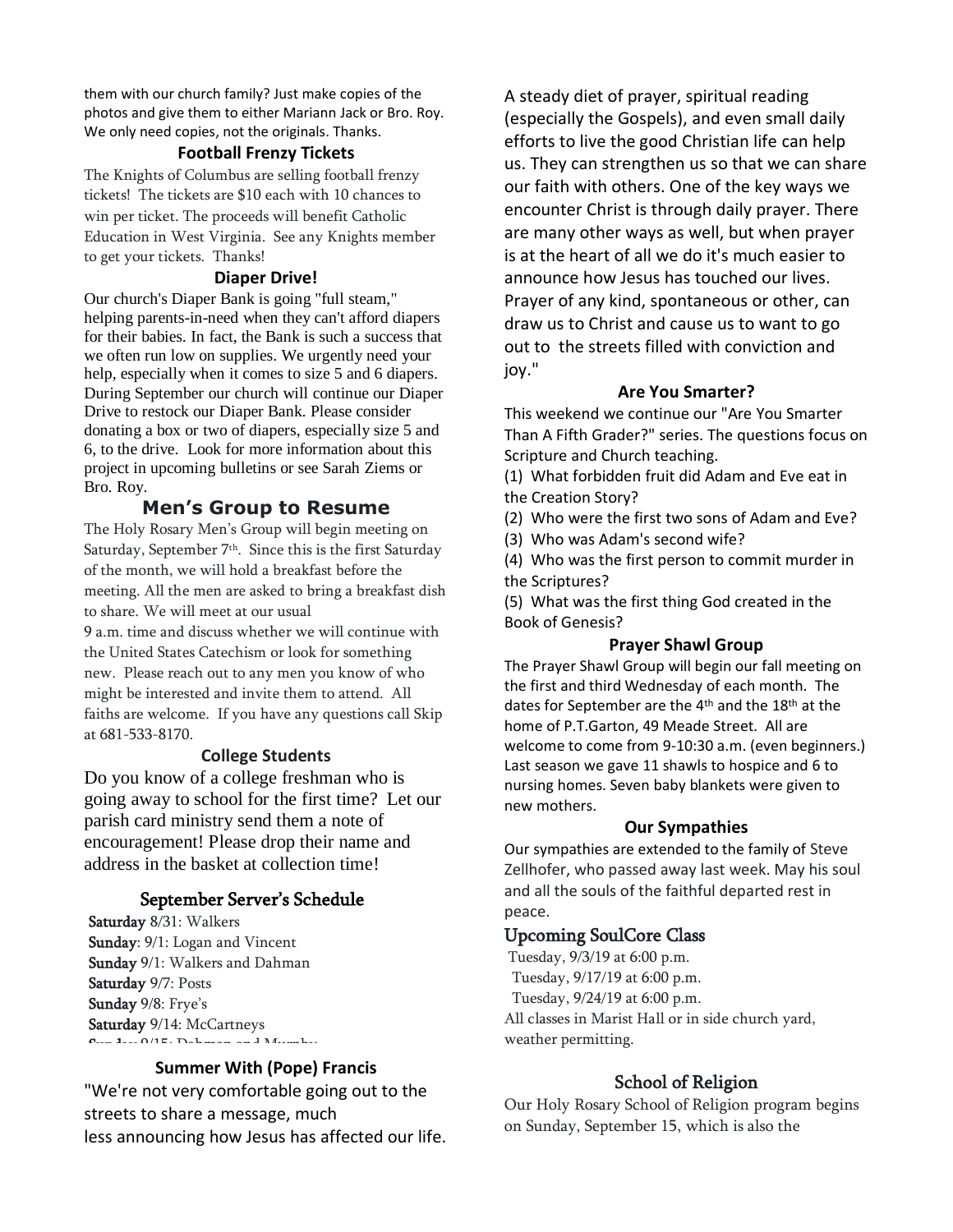them with our church family? Just make copies of the photos and give them to either Mariann Jack or Bro. Roy. We only need copies, not the originals. Thanks.

#### **Football Frenzy Tickets**

The Knights of Columbus are selling football frenzy tickets! The tickets are \$10 each with 10 chances to win per ticket. The proceeds will benefit Catholic Education in West Virginia. See any Knights member to get your tickets. Thanks!

#### **Diaper Drive!**

Our church's Diaper Bank is going "full steam," helping parents-in-need when they can't afford diapers for their babies. In fact, the Bank is such a success that we often run low on supplies. We urgently need your help, especially when it comes to size 5 and 6 diapers. During September our church will continue our Diaper Drive to restock our Diaper Bank. Please consider donating a box or two of diapers, especially size 5 and 6, to the drive. Look for more information about this project in upcoming bulletins or see Sarah Ziems or Bro. Roy.

#### **Men's Group to Resume**

The Holy Rosary Men's Group will begin meeting on Saturday, September 7<sup>th</sup>. Since this is the first Saturday of the month, we will hold a breakfast before the meeting. All the men are asked to bring a breakfast dish to share. We will meet at our usual

9 a.m. time and discuss whether we will continue with the United States Catechism or look for something new. Please reach out to any men you know of who might be interested and invite them to attend. All faiths are welcome. If you have any questions call Skip at 681-533-8170.

#### **College Students**

Do you know of a college freshman who is going away to school for the first time? Let our parish card ministry send them a note of encouragement! Please drop their name and address in the basket at collection time!

#### September Server's Schedule

Saturday 8/31: Walkers Sunday:  $9/1$ : Logan and Vincent Sunday 9/1: Walkers and Dahman Saturday 9/7: Posts Sunday 9/8: Frye's Saturday 9/14: McCartneys  $\sigma_{\text{max}} = \frac{1}{2} \left( \frac{1}{2} \right)$ 

#### **Summer With (Pope) Francis**

"We're not very comfortable going out to the streets to share a message, much less announcing how Jesus has affected our life.

A steady diet of prayer, spiritual reading (especially the Gospels), and even small daily efforts to live the good Christian life can help us. They can strengthen us so that we can share our faith with others. One of the key ways we encounter Christ is through daily prayer. There are many other ways as well, but when prayer is at the heart of all we do it's much easier to announce how Jesus has touched our lives. Prayer of any kind, spontaneous or other, can draw us to Christ and cause us to want to go out to the streets filled with conviction and joy."

#### **Are You Smarter?**

This weekend we continue our "Are You Smarter Than A Fifth Grader?" series. The questions focus on Scripture and Church teaching.

(1) What forbidden fruit did Adam and Eve eat in the Creation Story?

(2) Who were the first two sons of Adam and Eve?

(3) Who was Adam's second wife?

(4) Who was the first person to commit murder in the Scriptures?

(5) What was the first thing God created in the Book of Genesis?

#### **Prayer Shawl Group**

The Prayer Shawl Group will begin our fall meeting on the first and third Wednesday of each month. The dates for September are the 4<sup>th</sup> and the 18<sup>th</sup> at the home of P.T.Garton, 49 Meade Street. All are welcome to come from 9-10:30 a.m. (even beginners.) Last season we gave 11 shawls to hospice and 6 to nursing homes. Seven baby blankets were given to new mothers.

#### **Our Sympathies**

Our sympathies are extended to the family of Steve Zellhofer, who passed away last week. May his soul and all the souls of the faithful departed rest in peace.

#### Upcoming SoulCore Class

Tuesday, 9/3/19 at 6:00 p.m. Tuesday, 9/17/19 at 6:00 p.m. Tuesday, 9/24/19 at 6:00 p.m. All classes in Marist Hall or in side church yard, weather permitting.

#### School of Religion

Our Holy Rosary School of Religion program begins on Sunday, September 15, which is also the